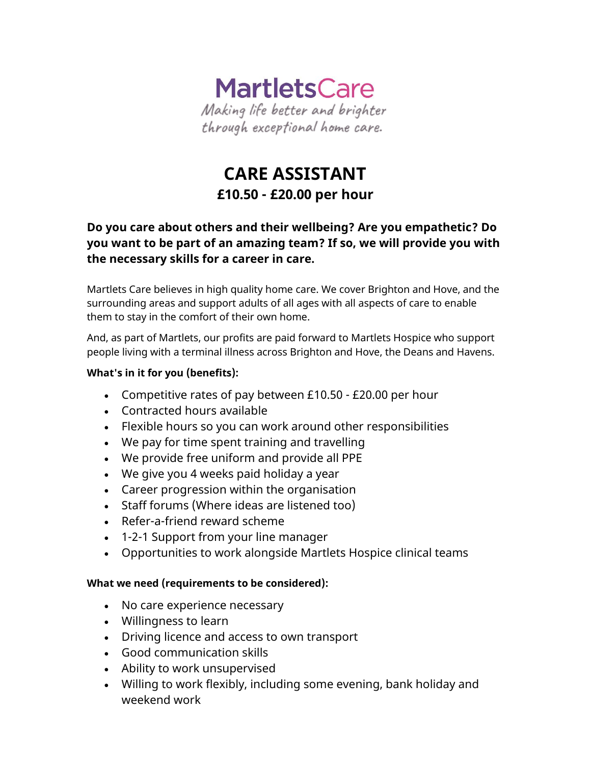

# **CARE ASSISTANT £10.50 - £20.00 per hour**

# **Do you care about others and their wellbeing? Are you empathetic? Do you want to be part of an amazing team? If so, we will provide you with the necessary skills for a career in care.**

Martlets Care believes in high quality home care. We cover Brighton and Hove, and the surrounding areas and support adults of all ages with all aspects of care to enable them to stay in the comfort of their own home.

And, as part of Martlets, our profits are paid forward to Martlets Hospice who support people living with a terminal illness across Brighton and Hove, the Deans and Havens.

## **What's in it for you (benefits):**

- Competitive rates of pay between £10.50 £20.00 per hour
- Contracted hours available
- Flexible hours so you can work around other responsibilities
- We pay for time spent training and travelling
- We provide free uniform and provide all PPE
- We give you 4 weeks paid holiday a year
- Career progression within the organisation
- Staff forums (Where ideas are listened too)
- Refer-a-friend reward scheme
- 1-2-1 Support from your line manager
- Opportunities to work alongside Martlets Hospice clinical teams

#### **What we need (requirements to be considered):**

- No care experience necessary
- Willingness to learn
- Driving licence and access to own transport
- Good communication skills
- Ability to work unsupervised
- Willing to work flexibly, including some evening, bank holiday and weekend work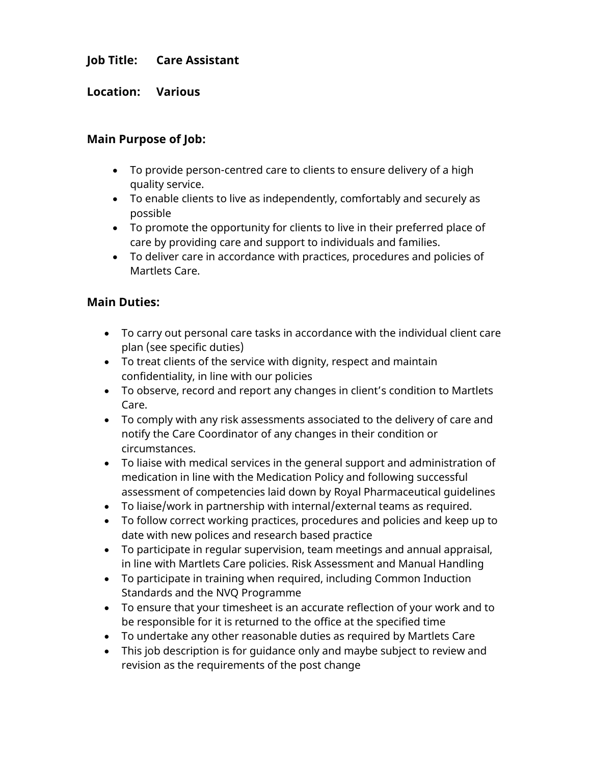# **Job Title: Care Assistant**

**Location: Various**

## **Main Purpose of Job:**

- To provide person-centred care to clients to ensure delivery of a high quality service.
- To enable clients to live as independently, comfortably and securely as possible
- To promote the opportunity for clients to live in their preferred place of care by providing care and support to individuals and families.
- To deliver care in accordance with practices, procedures and policies of Martlets Care.

## **Main Duties:**

- To carry out personal care tasks in accordance with the individual client care plan (see specific duties)
- To treat clients of the service with dignity, respect and maintain confidentiality, in line with our policies
- To observe, record and report any changes in client's condition to Martlets Care.
- To comply with any risk assessments associated to the delivery of care and notify the Care Coordinator of any changes in their condition or circumstances.
- To liaise with medical services in the general support and administration of medication in line with the Medication Policy and following successful assessment of competencies laid down by Royal Pharmaceutical guidelines
- To liaise/work in partnership with internal/external teams as required.
- To follow correct working practices, procedures and policies and keep up to date with new polices and research based practice
- To participate in regular supervision, team meetings and annual appraisal, in line with Martlets Care policies. Risk Assessment and Manual Handling
- To participate in training when required, including Common Induction Standards and the NVQ Programme
- To ensure that your timesheet is an accurate reflection of your work and to be responsible for it is returned to the office at the specified time
- To undertake any other reasonable duties as required by Martlets Care
- This job description is for guidance only and maybe subject to review and revision as the requirements of the post change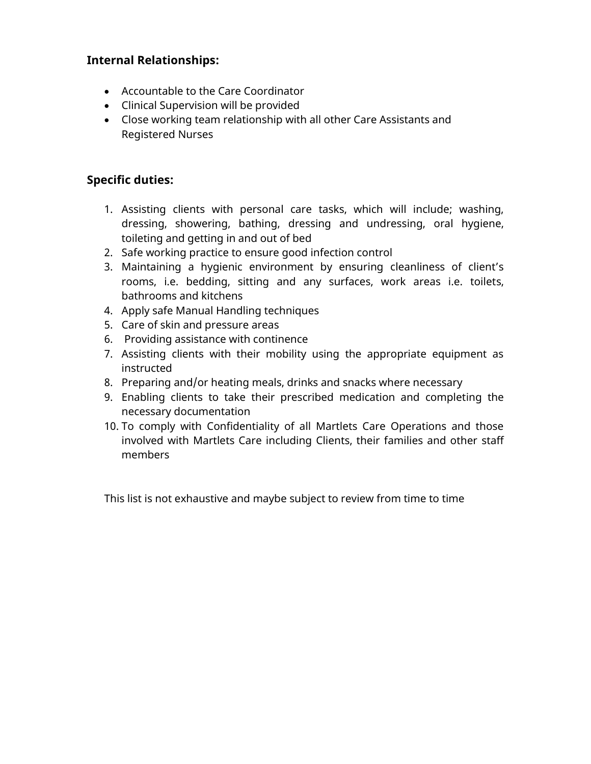# **Internal Relationships:**

- Accountable to the Care Coordinator
- Clinical Supervision will be provided
- Close working team relationship with all other Care Assistants and Registered Nurses

## **Specific duties:**

- 1. Assisting clients with personal care tasks, which will include; washing, dressing, showering, bathing, dressing and undressing, oral hygiene, toileting and getting in and out of bed
- 2. Safe working practice to ensure good infection control
- 3. Maintaining a hygienic environment by ensuring cleanliness of client's rooms, i.e. bedding, sitting and any surfaces, work areas i.e. toilets, bathrooms and kitchens
- 4. Apply safe Manual Handling techniques
- 5. Care of skin and pressure areas
- 6. Providing assistance with continence
- 7. Assisting clients with their mobility using the appropriate equipment as instructed
- 8. Preparing and/or heating meals, drinks and snacks where necessary
- 9. Enabling clients to take their prescribed medication and completing the necessary documentation
- 10. To comply with Confidentiality of all Martlets Care Operations and those involved with Martlets Care including Clients, their families and other staff members

This list is not exhaustive and maybe subject to review from time to time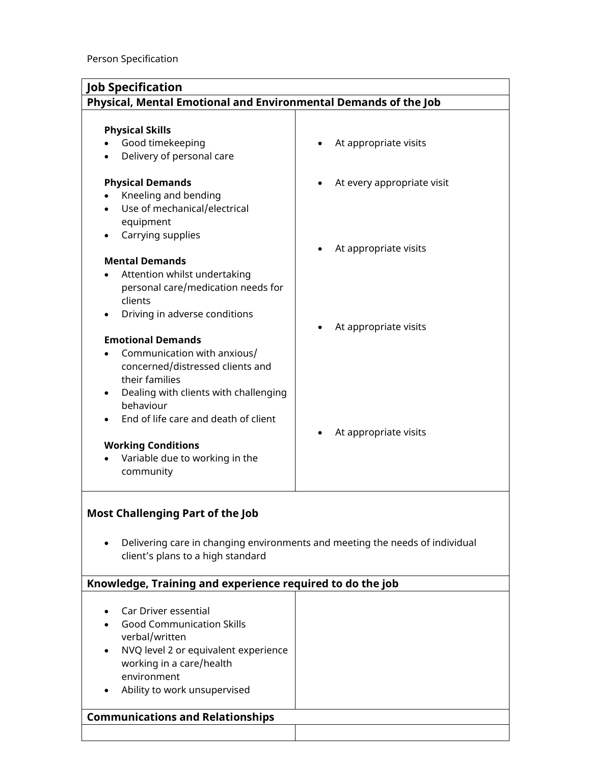| Physical, Mental Emotional and Environmental Demands of the Job                                                                                                           |  |  |
|---------------------------------------------------------------------------------------------------------------------------------------------------------------------------|--|--|
|                                                                                                                                                                           |  |  |
| At appropriate visits<br>At every appropriate visit<br>At appropriate visits                                                                                              |  |  |
| At appropriate visits                                                                                                                                                     |  |  |
| At appropriate visits                                                                                                                                                     |  |  |
| <b>Most Challenging Part of the Job</b><br>Delivering care in changing environments and meeting the needs of individual<br>$\bullet$<br>client's plans to a high standard |  |  |
| Knowledge, Training and experience required to do the job                                                                                                                 |  |  |
|                                                                                                                                                                           |  |  |
|                                                                                                                                                                           |  |  |